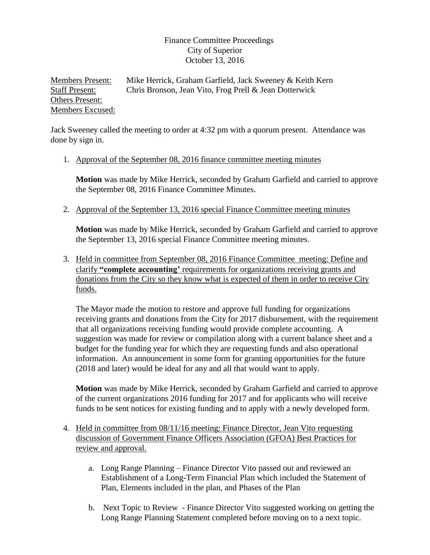## Finance Committee Proceedings City of Superior October 13, 2016

Members Present: Mike Herrick, Graham Garfield, Jack Sweeney & Keith Kern Staff Present: Chris Bronson, Jean Vito, Frog Prell & Jean Dotterwick Others Present: Members Excused:

Jack Sweeney called the meeting to order at 4:32 pm with a quorum present. Attendance was done by sign in.

1. Approval of the September 08, 2016 finance committee meeting minutes

**Motion** was made by Mike Herrick, seconded by Graham Garfield and carried to approve the September 08, 2016 Finance Committee Minutes.

2. Approval of the September 13, 2016 special Finance Committee meeting minutes

**Motion** was made by Mike Herrick, seconded by Graham Garfield and carried to approve the September 13, 2016 special Finance Committee meeting minutes.

3. Held in committee from September 08, 2016 Finance Committee meeting: Define and clarify **"complete accounting'** requirements for organizations receiving grants and donations from the City so they know what is expected of them in order to receive City funds.

The Mayor made the motion to restore and approve full funding for organizations receiving grants and donations from the City for 2017 disbursement, with the requirement that all organizations receiving funding would provide complete accounting. A suggestion was made for review or compilation along with a current balance sheet and a budget for the funding year for which they are requesting funds and also operational information. An announcement in some form for granting opportunities for the future (2018 and later) would be ideal for any and all that would want to apply.

**Motion** was made by Mike Herrick, seconded by Graham Garfield and carried to approve of the current organizations 2016 funding for 2017 and for applicants who will receive funds to be sent notices for existing funding and to apply with a newly developed form.

- 4. Held in committee from 08/11/16 meeting: Finance Director, Jean Vito requesting discussion of Government Finance Officers Association (GFOA) Best Practices for review and approval.
	- a. Long Range Planning Finance Director Vito passed out and reviewed an Establishment of a Long-Term Financial Plan which included the Statement of Plan, Elements included in the plan, and Phases of the Plan
	- b. Next Topic to Review Finance Director Vito suggested working on getting the Long Range Planning Statement completed before moving on to a next topic.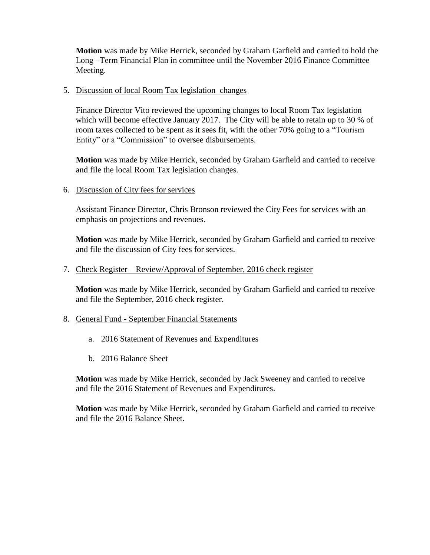**Motion** was made by Mike Herrick, seconded by Graham Garfield and carried to hold the Long –Term Financial Plan in committee until the November 2016 Finance Committee Meeting.

5. Discussion of local Room Tax legislation changes

Finance Director Vito reviewed the upcoming changes to local Room Tax legislation which will become effective January 2017. The City will be able to retain up to 30 % of room taxes collected to be spent as it sees fit, with the other 70% going to a "Tourism Entity" or a "Commission" to oversee disbursements.

**Motion** was made by Mike Herrick, seconded by Graham Garfield and carried to receive and file the local Room Tax legislation changes.

6. Discussion of City fees for services

Assistant Finance Director, Chris Bronson reviewed the City Fees for services with an emphasis on projections and revenues.

**Motion** was made by Mike Herrick, seconded by Graham Garfield and carried to receive and file the discussion of City fees for services.

## 7. Check Register – Review/Approval of September, 2016 check register

**Motion** was made by Mike Herrick, seconded by Graham Garfield and carried to receive and file the September, 2016 check register.

## 8. General Fund - September Financial Statements

- a. 2016 Statement of Revenues and Expenditures
- b. 2016 Balance Sheet

**Motion** was made by Mike Herrick, seconded by Jack Sweeney and carried to receive and file the 2016 Statement of Revenues and Expenditures.

**Motion** was made by Mike Herrick, seconded by Graham Garfield and carried to receive and file the 2016 Balance Sheet.